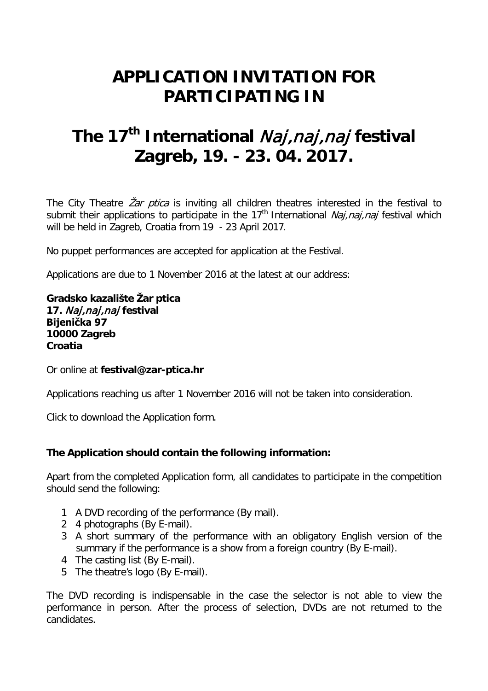## **APPLICATION INVITATION FOR PARTICIPATING IN**

# **The 17th International** Naj,naj,naj **festival Zagreb, 19. - 23. 04. 2017.**

The City Theatre Zar ptica is inviting all children theatres interested in the festival to submit their applications to participate in the 17<sup>th</sup> International *Naj, naj, naj* festival which will be held in Zagreb, Croatia from 19 - 23 April 2017.

No puppet performances are accepted for application at the Festival.

Applications are due to 1 November 2016 at the latest at our address:

**Gradsko kazalište Žar ptica 17.** Naj,naj,naj **festival Bijenička 97 10000 Zagreb Croatia**

Or online at **festival@zar-ptica.hr**

Applications reaching us after 1 November 2016 will not be taken into consideration.

Click to download the Application form.

## **The Application should contain the following information:**

Apart from the completed Application form, all candidates to participate in the competition should send the following:

- 1 A DVD recording of the performance (By mail).
- 2 4 photographs (By E-mail).
- 3 A short summary of the performance with an obligatory English version of the summary if the performance is a show from a foreign country (By E-mail).
- 4 The casting list (By E-mail).
- 5 The theatre's logo (By E-mail).

The DVD recording is indispensable in the case the selector is not able to view the performance in person. After the process of selection, DVDs are not returned to the candidates.